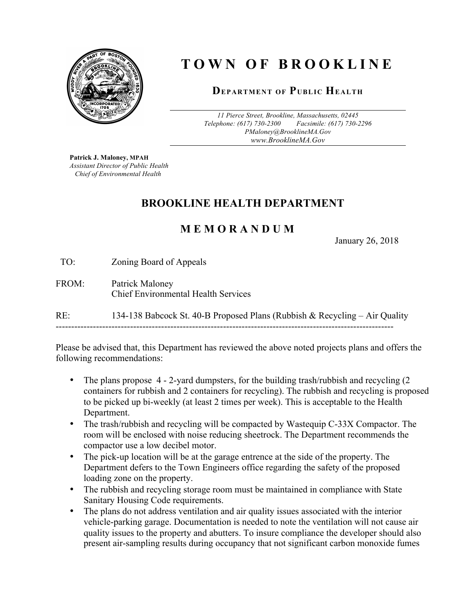

# **TOWN OF BROOKLINE**

#### **DEPARTMENT OF PUBLIC HEALTH**

*11 Pierce Street, Brookline, Massachusetts, 02445 Telephone: (617) 730-2300 Facsimile: (617) 730-2296 PMaloney@BrooklineMA.Gov www.BrooklineMA.Gov*

**Patrick J. Maloney, MPAH** *Assistant Director of Public Health Chief of Environmental Health*

## **BROOKLINE HEALTH DEPARTMENT**

## **M E M O R A N D U M**

January 26, 2018

TO: Zoning Board of Appeals

#### FROM: Patrick Maloney Chief Environmental Health Services

RE: 134-138 Babcock St. 40-B Proposed Plans (Rubbish & Recycling – Air Quality -------------------------------------------------------------------------------------------------------------

Please be advised that, this Department has reviewed the above noted projects plans and offers the following recommendations:

- The plans propose 4 2-yard dumpsters, for the building trash/rubbish and recycling (2 containers for rubbish and 2 containers for recycling). The rubbish and recycling is proposed to be picked up bi-weekly (at least 2 times per week). This is acceptable to the Health Department.
- The trash/rubbish and recycling will be compacted by Wastequip C-33X Compactor. The room will be enclosed with noise reducing sheetrock. The Department recommends the compactor use a low decibel motor.
- The pick-up location will be at the garage entrence at the side of the property. The Department defers to the Town Engineers office regarding the safety of the proposed loading zone on the property.
- The rubbish and recycling storage room must be maintained in compliance with State Sanitary Housing Code requirements.
- The plans do not address ventilation and air quality issues associated with the interior vehicle-parking garage. Documentation is needed to note the ventilation will not cause air quality issues to the property and abutters. To insure compliance the developer should also present air-sampling results during occupancy that not significant carbon monoxide fumes